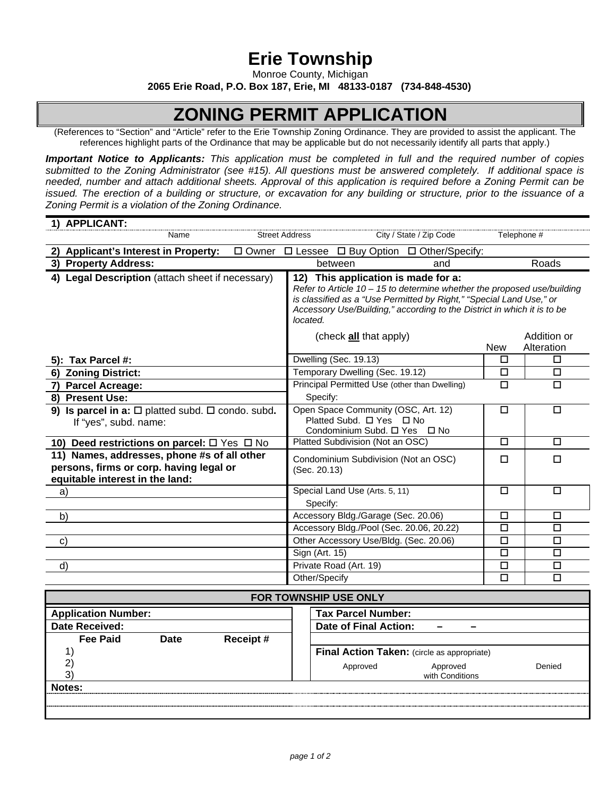## **Erie Township**

Monroe County, Michigan

**2065 Erie Road, P.O. Box 187, Erie, MI 48133-0187 (734-848-4530)**

## **ZONING PERMIT APPLICATION**

(References to "Section" and "Article" refer to the Erie Township Zoning Ordinance. They are provided to assist the applicant. The references highlight parts of the Ordinance that may be applicable but do not necessarily identify all parts that apply.)

*Important Notice to Applicants: This application must be completed in full and the required number of copies submitted to the Zoning Administrator (see #15). All questions must be answered completely. If additional space is needed, number and attach additional sheets. Approval of this application is required before a Zoning Permit can be issued. The erection of a building or structure, or excavation for any building or structure, prior to the issuance of a Zoning Permit is a violation of the Zoning Ordinance.* 

| 1) APPLICANT:                                                                                                             |                                                                                                                                                                                                                                                                                |                                         |
|---------------------------------------------------------------------------------------------------------------------------|--------------------------------------------------------------------------------------------------------------------------------------------------------------------------------------------------------------------------------------------------------------------------------|-----------------------------------------|
| <b>Street Address</b><br>Name                                                                                             | City / State / Zip Code                                                                                                                                                                                                                                                        | Telephone #                             |
| 2) Applicant's Interest in Property:<br>$\Box$ Owner $\Box$ Lessee $\Box$ Buy Option $\Box$ Other/Specify:                |                                                                                                                                                                                                                                                                                |                                         |
| 3) Property Address:                                                                                                      | between<br>and                                                                                                                                                                                                                                                                 | Roads                                   |
| 4) Legal Description (attach sheet if necessary)                                                                          | 12) This application is made for a:<br>Refer to Article $10 - 15$ to determine whether the proposed use/building<br>is classified as a "Use Permitted by Right," "Special Land Use," or<br>Accessory Use/Building," according to the District in which it is to be<br>located. |                                         |
|                                                                                                                           | (check <b>all</b> that apply)                                                                                                                                                                                                                                                  | Addition or<br><b>New</b><br>Alteration |
| 5): Tax Parcel #:                                                                                                         | Dwelling (Sec. 19.13)                                                                                                                                                                                                                                                          | П<br>□                                  |
| 6) Zoning District:                                                                                                       | Temporary Dwelling (Sec. 19.12)                                                                                                                                                                                                                                                | $\Box$<br>$\Box$                        |
| 7) Parcel Acreage:<br>8) Present Use:                                                                                     | Principal Permitted Use (other than Dwelling)<br>Specify:                                                                                                                                                                                                                      | $\Box$<br>□                             |
| 9) Is parcel in a: $\Box$ platted subd. $\Box$ condo. subd.<br>If "yes", subd. name:                                      | Open Space Community (OSC, Art. 12)<br>Platted Subd. □ Yes □ No<br>Condominium Subd. □ Yes □ No                                                                                                                                                                                | $\Box$<br>□                             |
| 10) Deed restrictions on parcel: $\Box$ Yes $\Box$ No                                                                     | Platted Subdivision (Not an OSC)                                                                                                                                                                                                                                               | $\Box$<br>$\Box$                        |
| 11) Names, addresses, phone #s of all other<br>persons, firms or corp. having legal or<br>equitable interest in the land: | Condominium Subdivision (Not an OSC)<br>(Sec. 20.13)                                                                                                                                                                                                                           | $\Box$<br>$\Box$                        |
| a)                                                                                                                        | Special Land Use (Arts. 5, 11)<br>Specify:                                                                                                                                                                                                                                     | $\Box$<br>□                             |
| b)                                                                                                                        | Accessory Bldg./Garage (Sec. 20.06)                                                                                                                                                                                                                                            | $\Box$<br>□                             |
|                                                                                                                           | Accessory Bldg./Pool (Sec. 20.06, 20.22)                                                                                                                                                                                                                                       | $\overline{\square}$<br>$\Box$          |
| $\mathbf{C}$                                                                                                              | Other Accessory Use/Bldg. (Sec. 20.06)                                                                                                                                                                                                                                         | $\Box$<br>□                             |
|                                                                                                                           | Sign (Art. 15)                                                                                                                                                                                                                                                                 | $\Box$<br>$\Box$                        |
| $\mathsf{d}$                                                                                                              | Private Road (Art. 19)                                                                                                                                                                                                                                                         | $\Box$<br>□                             |
|                                                                                                                           | Other/Specify                                                                                                                                                                                                                                                                  | $\Box$<br>$\Box$                        |
| FOR TOWNSHIP USE ONLY                                                                                                     |                                                                                                                                                                                                                                                                                |                                         |
| <b>Application Number:</b>                                                                                                | <b>Tax Parcel Number:</b>                                                                                                                                                                                                                                                      |                                         |
| <b>Date Received:</b>                                                                                                     | <b>Date of Final Action:</b><br>-                                                                                                                                                                                                                                              |                                         |
| <b>Fee Paid</b><br><b>Receipt#</b><br><b>Date</b>                                                                         |                                                                                                                                                                                                                                                                                |                                         |
| 1)<br>2)<br>3)                                                                                                            | Final Action Taken: (circle as appropriate)<br>Approved<br>Approved<br>with Conditions                                                                                                                                                                                         | Denied                                  |

**Notes:**